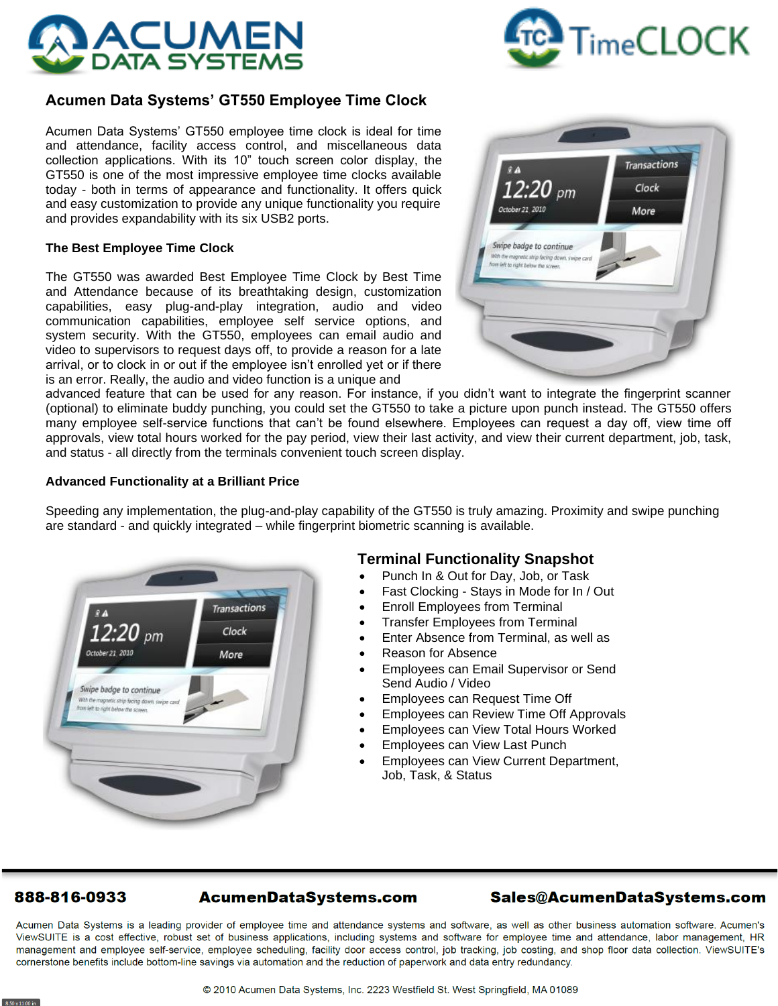



# **Acumen Data Systems' GT550 Employee Time Clock**

Acumen Data Systems' GT550 employee time clock is ideal for time and attendance, facility access control, and miscellaneous data collection applications. With its 10" touch screen color display, the GT550 is one of the most impressive employee time clocks available today - both in terms of appearance and functionality. It offers quick and easy customization to provide any unique functionality you require and provides expandability with its six USB2 ports.

#### **The Best Employee Time Clock**

The GT550 was awarded Best Employee Time Clock by Best Time and Attendance because of its breathtaking design, customization capabilities, easy plug-and-play integration, audio and video communication capabilities, employee self service options, and system security. With the GT550, employees can email audio and video to supervisors to request days off, to provide a reason for a late arrival, or to clock in or out if the employee isn't enrolled yet or if there is an error. Really, the audio and video function is a unique and



advanced feature that can be used for any reason. For instance, if you didn't want to integrate the fingerprint scanner (optional) to eliminate buddy punching, you could set the GT550 to take a picture upon punch instead. The GT550 offers many employee self-service functions that can't be found elsewhere. Employees can request a day off, view time off approvals, view total hours worked for the pay period, view their last activity, and view their current department, job, task, and status - all directly from the terminals convenient touch screen display.

## **Advanced Functionality at a Brilliant Price**

Speeding any implementation, the plug-and-play capability of the GT550 is truly amazing. Proximity and swipe punching are standard - and quickly integrated – while fingerprint biometric scanning is available.



## **Terminal Functionality Snapshot**

- Punch In & Out for Day, Job, or Task
- Fast Clocking Stays in Mode for In / Out
- Enroll Employees from Terminal
- Transfer Employees from Terminal
- Enter Absence from Terminal, as well as
- Reason for Absence
- Employees can Email Supervisor or Send Send Audio / Video
- Employees can Request Time Off
- Employees can Review Time Off Approvals
- Employees can View Total Hours Worked
- Employees can View Last Punch
- Employees can View Current Department, Job, Task, & Status

## 888-816-0933

## Sales@AcumenDataSystems.com

Acumen Data Systems is a leading provider of employee time and attendance systems and software, as well as other business automation software. Acumen's ViewSUITE is a cost effective, robust set of business applications, including systems and software for employee time and attendance, labor management, HR management and employee self-service, employee scheduling, facility door access control, job tracking, job costing, and shop floor data collection. ViewSUITE's cornerstone benefits include bottom-line savings via automation and the reduction of paperwork and data entry redundancy.

**AcumenDataSystems.com**